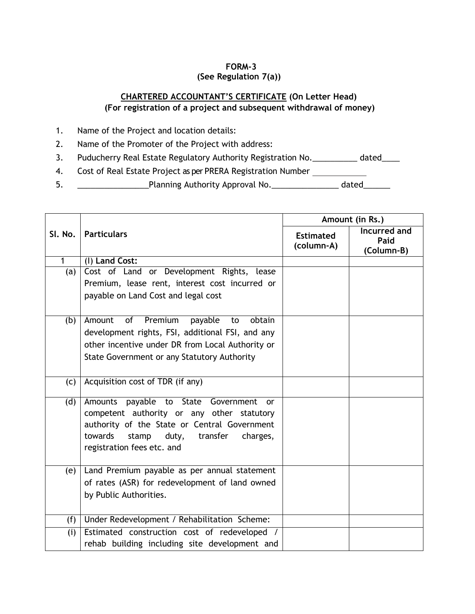## **FORM-3 (See Regulation 7(a))**

# **CHARTERED ACCOUNTANT'S CERTIFICATE (On Letter Head) (For registration of a project and subsequent withdrawal of money)**

- 1. Name of the Project and location details:
- 2. Name of the Promoter of the Project with address:
- 3. Puducherry Real Estate Regulatory Authority Registration No. \_\_\_\_\_\_\_\_\_\_ dated\_\_\_\_
- 4. Cost of Real Estate Project as per PRERA Registration Number
- 5. \_\_\_\_\_\_\_\_\_\_\_\_\_\_\_\_Planning Authority Approval No.\_\_\_\_\_\_\_\_\_\_\_\_\_\_\_ dated\_\_\_\_\_\_

|              |                                                                                                                                                                                                                                   | Amount (in Rs.)                |                                    |  |
|--------------|-----------------------------------------------------------------------------------------------------------------------------------------------------------------------------------------------------------------------------------|--------------------------------|------------------------------------|--|
| SI. No.      | <b>Particulars</b>                                                                                                                                                                                                                | <b>Estimated</b><br>(column-A) | Incurred and<br>Paid<br>(Column-B) |  |
| $\mathbf{1}$ | (I) Land Cost:                                                                                                                                                                                                                    |                                |                                    |  |
| (a)          | Cost of Land or Development Rights, lease<br>Premium, lease rent, interest cost incurred or<br>payable on Land Cost and legal cost                                                                                                |                                |                                    |  |
| (b)          | of<br>Premium<br>payable<br>Amount<br>obtain<br>to<br>development rights, FSI, additional FSI, and any<br>other incentive under DR from Local Authority or<br>State Government or any Statutory Authority                         |                                |                                    |  |
| (c)          | Acquisition cost of TDR (if any)                                                                                                                                                                                                  |                                |                                    |  |
| (d)          | Amounts payable to State Government<br><b>or</b><br>competent authority or any other statutory<br>authority of the State or Central Government<br>towards<br>transfer<br>stamp<br>duty,<br>charges,<br>registration fees etc. and |                                |                                    |  |
| (e)          | Land Premium payable as per annual statement<br>of rates (ASR) for redevelopment of land owned<br>by Public Authorities.                                                                                                          |                                |                                    |  |
| (f)          | Under Redevelopment / Rehabilitation Scheme:                                                                                                                                                                                      |                                |                                    |  |
| (i)          | Estimated construction cost of redeveloped<br>rehab building including site development and                                                                                                                                       |                                |                                    |  |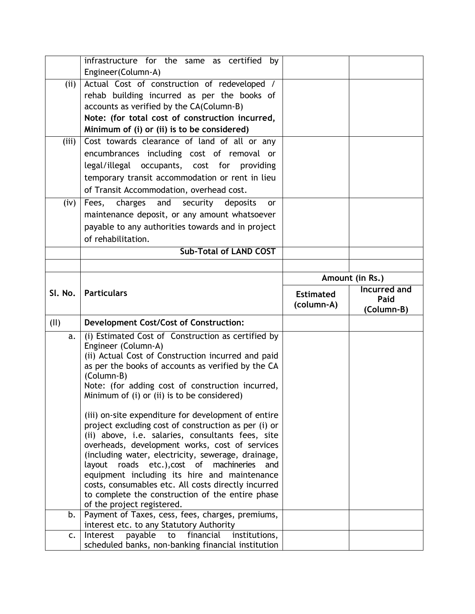|                | infrastructure for the same as certified<br>by                                                              |                  |                 |  |  |
|----------------|-------------------------------------------------------------------------------------------------------------|------------------|-----------------|--|--|
|                | Engineer(Column-A)                                                                                          |                  |                 |  |  |
| (ii)           | Actual Cost of construction of redeveloped /                                                                |                  |                 |  |  |
|                | rehab building incurred as per the books of                                                                 |                  |                 |  |  |
|                | accounts as verified by the CA(Column-B)                                                                    |                  |                 |  |  |
|                | Note: (for total cost of construction incurred,                                                             |                  |                 |  |  |
|                | Minimum of (i) or (ii) is to be considered)                                                                 |                  |                 |  |  |
| (iii)          | Cost towards clearance of land of all or any                                                                |                  |                 |  |  |
|                | encumbrances including cost of removal or                                                                   |                  |                 |  |  |
|                | legal/illegal occupants, cost for providing                                                                 |                  |                 |  |  |
|                |                                                                                                             |                  |                 |  |  |
|                | temporary transit accommodation or rent in lieu                                                             |                  |                 |  |  |
|                | of Transit Accommodation, overhead cost.                                                                    |                  |                 |  |  |
| (iv)           | Fees, charges and security deposits<br><b>or</b>                                                            |                  |                 |  |  |
|                | maintenance deposit, or any amount whatsoever                                                               |                  |                 |  |  |
|                | payable to any authorities towards and in project                                                           |                  |                 |  |  |
|                | of rehabilitation.                                                                                          |                  |                 |  |  |
|                | <b>Sub-Total of LAND COST</b>                                                                               |                  |                 |  |  |
|                |                                                                                                             |                  |                 |  |  |
|                |                                                                                                             |                  | Amount (in Rs.) |  |  |
| SI. No.        | <b>Particulars</b>                                                                                          |                  | Incurred and    |  |  |
|                |                                                                                                             | <b>Estimated</b> | Paid            |  |  |
|                |                                                                                                             |                  |                 |  |  |
|                |                                                                                                             | (column-A)       | (Column-B)      |  |  |
| (II)           | <b>Development Cost/Cost of Construction:</b>                                                               |                  |                 |  |  |
| a.             | (i) Estimated Cost of Construction as certified by                                                          |                  |                 |  |  |
|                | Engineer (Column-A)                                                                                         |                  |                 |  |  |
|                | (ii) Actual Cost of Construction incurred and paid                                                          |                  |                 |  |  |
|                | as per the books of accounts as verified by the CA                                                          |                  |                 |  |  |
|                | (Column-B)                                                                                                  |                  |                 |  |  |
|                | Note: (for adding cost of construction incurred,                                                            |                  |                 |  |  |
|                | Minimum of (i) or (ii) is to be considered)                                                                 |                  |                 |  |  |
|                |                                                                                                             |                  |                 |  |  |
|                | (iii) on-site expenditure for development of entire<br>project excluding cost of construction as per (i) or |                  |                 |  |  |
|                | (ii) above, i.e. salaries, consultants fees, site                                                           |                  |                 |  |  |
|                | overheads, development works, cost of services                                                              |                  |                 |  |  |
|                | (including water, electricity, sewerage, drainage,                                                          |                  |                 |  |  |
|                | layout roads etc.), cost of machineries<br>and                                                              |                  |                 |  |  |
|                | equipment including its hire and maintenance                                                                |                  |                 |  |  |
|                | costs, consumables etc. All costs directly incurred                                                         |                  |                 |  |  |
|                | to complete the construction of the entire phase                                                            |                  |                 |  |  |
| b.             | of the project registered.                                                                                  |                  |                 |  |  |
|                | Payment of Taxes, cess, fees, charges, premiums,<br>interest etc. to any Statutory Authority                |                  |                 |  |  |
| $\mathsf{C}$ . | financial<br>payable<br>Interest<br>institutions,<br>to                                                     |                  |                 |  |  |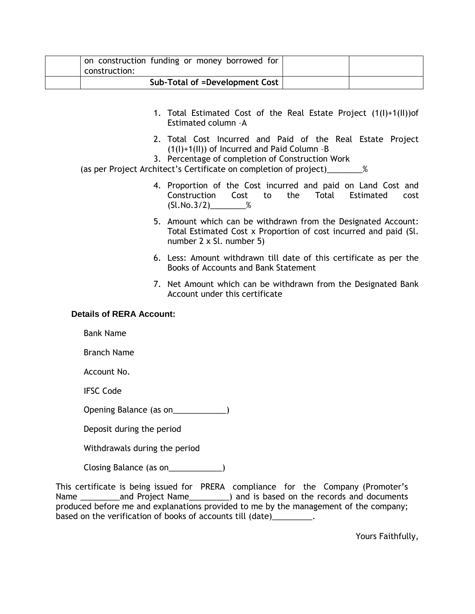| on construction funding or money borrowed for<br>construction: |  |
|----------------------------------------------------------------|--|
| Sub-Total of =Development Cost                                 |  |

- 1. Total Estimated Cost of the Real Estate Project (1(I)+1(II))of Estimated column –A
- 2. Total Cost Incurred and Paid of the Real Estate Project (1(I)+1(II)) of Incurred and Paid Column –B
- 3. Percentage of completion of Construction Work

(as per Project Architect's Certificate on completion of project)\_\_\_\_\_\_\_\_%

- 4. Proportion of the Cost incurred and paid on Land Cost and Construction Cost to the Total Estimated cost  $(Sl.No.3/2)$  %
- 5. Amount which can be withdrawn from the Designated Account: Total Estimated Cost x Proportion of cost incurred and paid (Sl. number 2 x Sl. number 5)
- 6. Less: Amount withdrawn till date of this certificate as per the Books of Accounts and Bank Statement
- 7. Net Amount which can be withdrawn from the Designated Bank Account under this certificate

#### **Details of RERA Account:**

Bank Name

Branch Name

Account No.

IFSC Code

Opening Balance (as on\_\_\_\_\_\_\_\_\_\_\_\_)

Deposit during the period

Withdrawals during the period

Closing Balance (as on\_\_\_\_\_\_\_\_\_\_\_\_)

This certificate is being issued for PRERA compliance for the Company (Promoter's Name \_\_\_\_\_\_\_\_\_and Project Name\_\_\_\_\_\_\_\_\_) and is based on the records and documents produced before me and explanations provided to me by the management of the company; based on the verification of books of accounts till (date) electronic system of books of accounts till (date)

Yours Faithfully,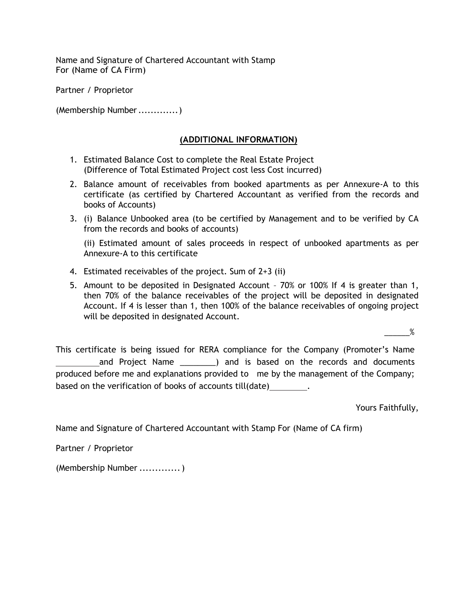Name and Signature of Chartered Accountant with Stamp For (Name of CA Firm)

Partner / Proprietor

(Membership Number.............)

#### **(ADDITIONAL INFORMATION)**

- 1. Estimated Balance Cost to complete the Real Estate Project (Difference of Total Estimated Project cost less Cost incurred)
- 2. Balance amount of receivables from booked apartments as per Annexure-A to this certificate (as certified by Chartered Accountant as verified from the records and books of Accounts)
- 3. (i) Balance Unbooked area (to be certified by Management and to be verified by CA from the records and books of accounts)

(ii) Estimated amount of sales proceeds in respect of unbooked apartments as per Annexure-A to this certificate

- 4. Estimated receivables of the project. Sum of 2+3 (ii)
- 5. Amount to be deposited in Designated Account 70% or 100% If 4 is greater than 1, then 70% of the balance receivables of the project will be deposited in designated Account. If 4 is lesser than 1, then 100% of the balance receivables of ongoing project will be deposited in designated Account.

 $%$ 

This certificate is being issued for RERA compliance for the Company (Promoter's Name and Project Name  $\qquad$  ) and is based on the records and documents produced before me and explanations provided to me by the management of the Company; based on the verification of books of accounts till(date) .

Yours Faithfully,

Name and Signature of Chartered Accountant with Stamp For (Name of CA firm)

Partner / Proprietor

(Membership Number .............)